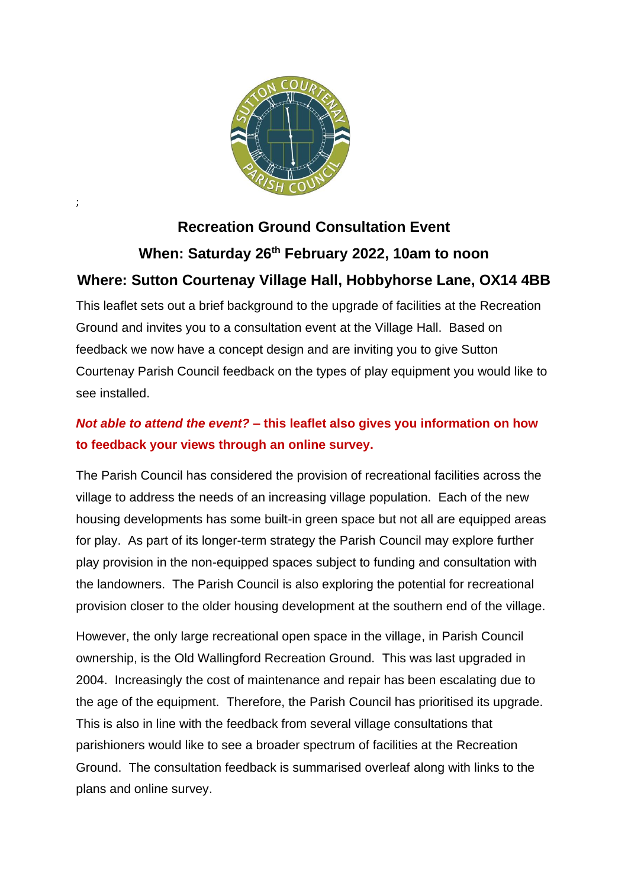

;

## **Recreation Ground Consultation Event When: Saturday 26th February 2022, 10am to noon Where: Sutton Courtenay Village Hall, Hobbyhorse Lane, OX14 4BB**

This leaflet sets out a brief background to the upgrade of facilities at the Recreation Ground and invites you to a consultation event at the Village Hall. Based on feedback we now have a concept design and are inviting you to give Sutton Courtenay Parish Council feedback on the types of play equipment you would like to see installed.

## *Not able to attend the event?* **– this leaflet also gives you information on how to feedback your views through an online survey.**

The Parish Council has considered the provision of recreational facilities across the village to address the needs of an increasing village population. Each of the new housing developments has some built-in green space but not all are equipped areas for play. As part of its longer-term strategy the Parish Council may explore further play provision in the non-equipped spaces subject to funding and consultation with the landowners. The Parish Council is also exploring the potential for recreational provision closer to the older housing development at the southern end of the village.

However, the only large recreational open space in the village, in Parish Council ownership, is the Old Wallingford Recreation Ground. This was last upgraded in 2004. Increasingly the cost of maintenance and repair has been escalating due to the age of the equipment. Therefore, the Parish Council has prioritised its upgrade. This is also in line with the feedback from several village consultations that parishioners would like to see a broader spectrum of facilities at the Recreation Ground. The consultation feedback is summarised overleaf along with links to the plans and online survey.